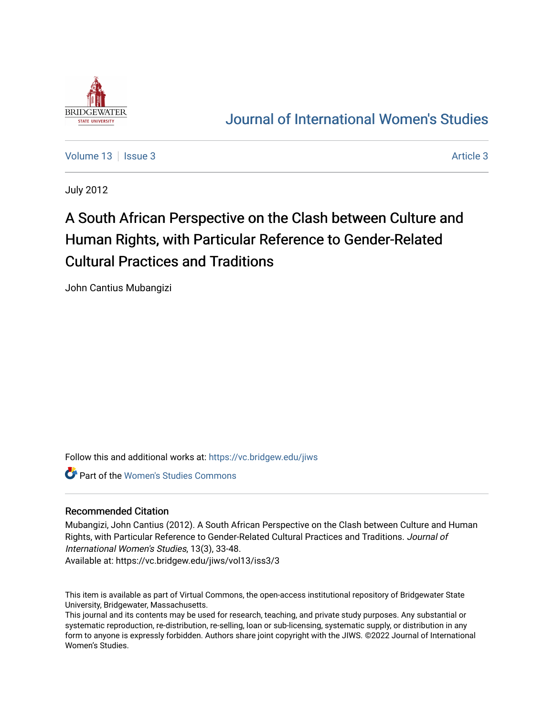

# [Journal of International Women's Studies](https://vc.bridgew.edu/jiws)

[Volume 13](https://vc.bridgew.edu/jiws/vol13) | [Issue 3](https://vc.bridgew.edu/jiws/vol13/iss3) [Article 3](https://vc.bridgew.edu/jiws/vol13/iss3/3) Article 3

July 2012

# A South African Perspective on the Clash between Culture and Human Rights, with Particular Reference to Gender-Related Cultural Practices and Traditions

John Cantius Mubangizi

Follow this and additional works at: [https://vc.bridgew.edu/jiws](https://vc.bridgew.edu/jiws?utm_source=vc.bridgew.edu%2Fjiws%2Fvol13%2Fiss3%2F3&utm_medium=PDF&utm_campaign=PDFCoverPages)

Part of the [Women's Studies Commons](http://network.bepress.com/hgg/discipline/561?utm_source=vc.bridgew.edu%2Fjiws%2Fvol13%2Fiss3%2F3&utm_medium=PDF&utm_campaign=PDFCoverPages) 

#### Recommended Citation

Mubangizi, John Cantius (2012). A South African Perspective on the Clash between Culture and Human Rights, with Particular Reference to Gender-Related Cultural Practices and Traditions. Journal of International Women's Studies, 13(3), 33-48.

Available at: https://vc.bridgew.edu/jiws/vol13/iss3/3

This item is available as part of Virtual Commons, the open-access institutional repository of Bridgewater State University, Bridgewater, Massachusetts.

This journal and its contents may be used for research, teaching, and private study purposes. Any substantial or systematic reproduction, re-distribution, re-selling, loan or sub-licensing, systematic supply, or distribution in any form to anyone is expressly forbidden. Authors share joint copyright with the JIWS. ©2022 Journal of International Women's Studies.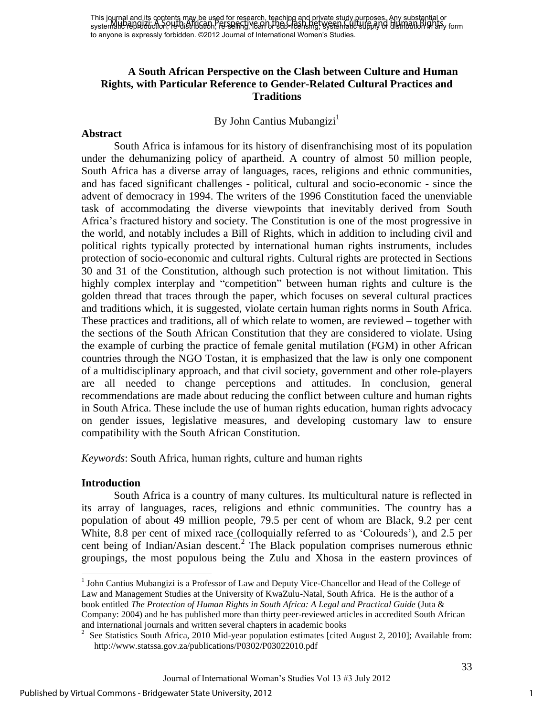# **A South African Perspective on the Clash between Culture and Human Rights, with Particular Reference to Gender-Related Cultural Practices and Traditions**

#### By John Cantius Mubangizi<sup>1</sup>

#### **Abstract**

South Africa is infamous for its history of disenfranchising most of its population under the dehumanizing policy of apartheid. A country of almost 50 million people, South Africa has a diverse array of languages, races, religions and ethnic communities, and has faced significant challenges - political, cultural and socio-economic - since the advent of democracy in 1994. The writers of the 1996 Constitution faced the unenviable task of accommodating the diverse viewpoints that inevitably derived from South Africa"s fractured history and society. The Constitution is one of the most progressive in the world, and notably includes a Bill of Rights, which in addition to including civil and political rights typically protected by international human rights instruments, includes protection of socio-economic and cultural rights. Cultural rights are protected in Sections 30 and 31 of the Constitution, although such protection is not without limitation. This highly complex interplay and "competition" between human rights and culture is the golden thread that traces through the paper, which focuses on several cultural practices and traditions which, it is suggested, violate certain human rights norms in South Africa. These practices and traditions, all of which relate to women, are reviewed – together with the sections of the South African Constitution that they are considered to violate. Using the example of curbing the practice of female genital mutilation (FGM) in other African countries through the NGO Tostan, it is emphasized that the law is only one component of a multidisciplinary approach, and that civil society, government and other role-players are all needed to change perceptions and attitudes. In conclusion, general recommendations are made about reducing the conflict between culture and human rights in South Africa. These include the use of human rights education, human rights advocacy on gender issues, legislative measures, and developing customary law to ensure compatibility with the South African Constitution.

*Keywords*: South Africa, human rights, culture and human rights

#### **Introduction**

 $\overline{a}$ 

 South Africa is a country of many cultures. Its multicultural nature is reflected in its array of languages, races, religions and ethnic communities. The country has a population of about 49 million people, 79.5 per cent of whom are Black, 9.2 per cent White, 8.8 per cent of mixed race [\(colloquially](http://en.wiktionary.org/wiki/colloquially) referred to as "Coloureds"), and 2.5 per cent being of Indian/Asian descent.<sup>2</sup> The Black population comprises numerous ethnic groupings, the most populous being the Zulu and Xhosa in the eastern provinces of

<sup>&</sup>lt;sup>1</sup> John Cantius Mubangizi is a Professor of Law and Deputy Vice-Chancellor and Head of the College of Law and Management Studies at the University of KwaZulu-Natal, South Africa. He is the author of a book entitled *The Protection of Human Rights in South Africa: A Legal and Practical Guide* (Juta & Company: 2004) and he has published more than thirty peer-reviewed articles in accredited South African and international journals and written several chapters in academic books

<sup>&</sup>lt;sup>2</sup> See Statistics South Africa, 2010 Mid-year population estimates [cited August 2, 2010]; Available from: <http://www.statssa.gov.za/publications/P0302/P03022010.pdf>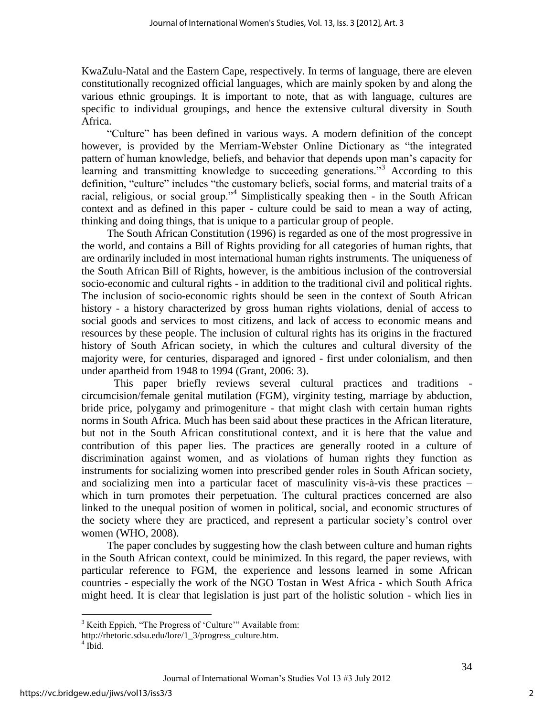KwaZulu-Natal and the Eastern Cape, respectively. In terms of language, there are eleven constitutionally recognized official languages, which are mainly spoken by and along the various ethnic groupings. It is important to note, that as with language, cultures are specific to individual groupings, and hence the extensive cultural diversity in South Africa.

"Culture" has been defined in various ways. A modern definition of the concept however, is provided by the Merriam-Webster Online Dictionary as "the integrated pattern of human knowledge, beliefs, and behavior that depends upon man"s capacity for learning and transmitting knowledge to succeeding generations."<sup>3</sup> According to this definition, "culture" includes "the customary beliefs, social forms, and material traits of a racial, religious, or social group."<sup>4</sup> Simplistically speaking then - in the South African context and as defined in this paper - culture could be said to mean a way of acting, thinking and doing things, that is unique to a particular group of people.

 The South African Constitution (1996) is regarded as one of the most progressive in the world, and contains a Bill of Rights providing for all categories of human rights, that are ordinarily included in most international human rights instruments. The uniqueness of the South African Bill of Rights, however, is the ambitious inclusion of the controversial socio-economic and cultural rights - in addition to the traditional civil and political rights. The inclusion of socio-economic rights should be seen in the context of South African history - a history characterized by gross human rights violations, denial of access to social goods and services to most citizens, and lack of access to economic means and resources by these people. The inclusion of cultural rights has its origins in the fractured history of South African society, in which the cultures and cultural diversity of the majority were, for centuries, disparaged and ignored - first under colonialism, and then under apartheid from 1948 to 1994 (Grant, 2006: 3).

 This paper briefly reviews several cultural practices and traditions circumcision/female genital mutilation (FGM), virginity testing, marriage by abduction, bride price, polygamy and primogeniture - that might clash with certain human rights norms in South Africa. Much has been said about these practices in the African literature, but not in the South African constitutional context, and it is here that the value and contribution of this paper lies. The practices are generally rooted in a culture of discrimination against women, and as violations of human rights they function as instruments for socializing women into prescribed gender roles in South African society, and socializing men into a particular facet of masculinity vis-à-vis these practices – which in turn promotes their perpetuation. The cultural practices concerned are also linked to the unequal position of women in political, social, and economic structures of the society where they are practiced, and represent a particular society"s control over women (WHO, 2008).

The paper concludes by suggesting how the clash between culture and human rights in the South African context, could be minimized. In this regard, the paper reviews, with particular reference to FGM, the experience and lessons learned in some African countries - especially the work of the NGO Tostan in West Africa - which South Africa might heed. It is clear that legislation is just part of the holistic solution - which lies in

 $\overline{a}$ 

<sup>&</sup>lt;sup>3</sup> Keith Eppich, "The Progress of 'Culture'" Available from:

[http://rhetoric.sdsu.edu/lore/1\\_3/progress\\_culture.htm.](http://rhetoric.sdsu.edu/lore/1_3/progress_culture.htm)

 $4$  Ibid.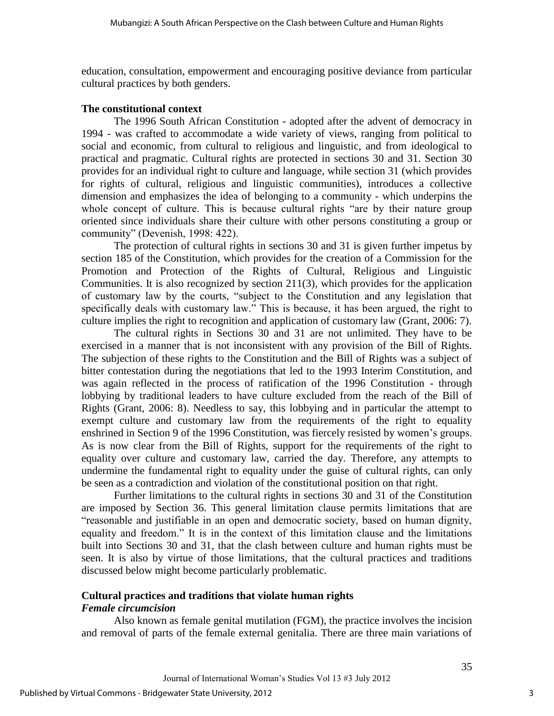education, consultation, empowerment and encouraging positive deviance from particular cultural practices by both genders.

#### **The constitutional context**

The 1996 South African Constitution - adopted after the advent of democracy in 1994 - was crafted to accommodate a wide variety of views, ranging from political to social and economic, from cultural to religious and linguistic, and from ideological to practical and pragmatic. Cultural rights are protected in sections 30 and 31. Section 30 provides for an individual right to culture and language, while section 31 (which provides for rights of cultural, religious and linguistic communities), introduces a collective dimension and emphasizes the idea of belonging to a community - which underpins the whole concept of culture. This is because cultural rights "are by their nature group oriented since individuals share their culture with other persons constituting a group or community" (Devenish, 1998: 422).

 The protection of cultural rights in sections 30 and 31 is given further impetus by section 185 of the Constitution, which provides for the creation of a Commission for the Promotion and Protection of the Rights of Cultural, Religious and Linguistic Communities. It is also recognized by section 211(3), which provides for the application of customary law by the courts, "subject to the Constitution and any legislation that specifically deals with customary law." This is because, it has been argued, the right to culture implies the right to recognition and application of customary law (Grant, 2006: 7).

 The cultural rights in Sections 30 and 31 are not unlimited. They have to be exercised in a manner that is not inconsistent with any provision of the Bill of Rights. The subjection of these rights to the Constitution and the Bill of Rights was a subject of bitter contestation during the negotiations that led to the 1993 Interim Constitution, and was again reflected in the process of ratification of the 1996 Constitution - through lobbying by traditional leaders to have culture excluded from the reach of the Bill of Rights (Grant, 2006: 8). Needless to say, this lobbying and in particular the attempt to exempt culture and customary law from the requirements of the right to equality enshrined in Section 9 of the 1996 Constitution, was fiercely resisted by women"s groups. As is now clear from the Bill of Rights, support for the requirements of the right to equality over culture and customary law, carried the day. Therefore, any attempts to undermine the fundamental right to equality under the guise of cultural rights, can only be seen as a contradiction and violation of the constitutional position on that right.

 Further limitations to the cultural rights in sections 30 and 31 of the Constitution are imposed by Section 36. This general limitation clause permits limitations that are "reasonable and justifiable in an open and democratic society, based on human dignity, equality and freedom." It is in the context of this limitation clause and the limitations built into Sections 30 and 31, that the clash between culture and human rights must be seen. It is also by virtue of those limitations, that the cultural practices and traditions discussed below might become particularly problematic.

### **Cultural practices and traditions that violate human rights**  *Female circumcision*

 Also known as female genital mutilation (FGM), the practice involves the incision and removal of parts of the female external genitalia. There are three main variations of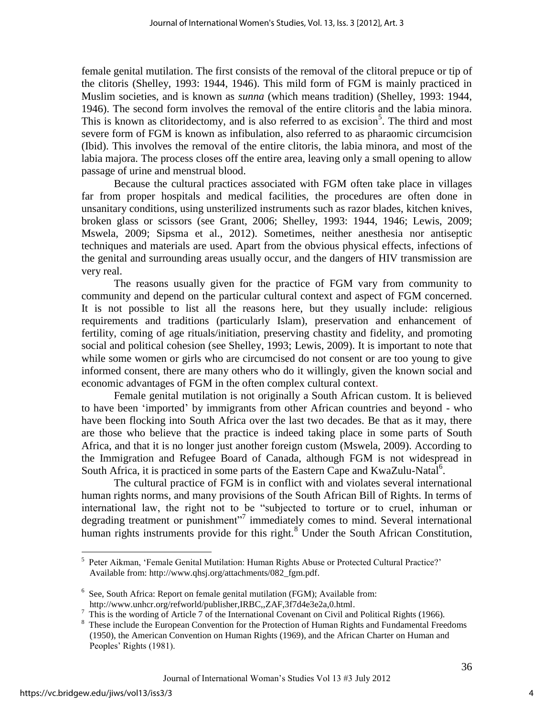female genital mutilation. The first consists of the removal of the clitoral prepuce or tip of the clitoris (Shelley, 1993: 1944, 1946). This mild form of FGM is mainly practiced in Muslim societies, and is known as *sunna* (which means tradition) (Shelley, 1993: 1944, 1946). The second form involves the removal of the entire clitoris and the labia minora. This is known as clitoridectomy, and is also referred to as excision<sup>5</sup>. The third and most severe form of FGM is known as infibulation, also referred to as pharaomic circumcision (Ibid). This involves the removal of the entire clitoris, the labia minora, and most of the labia majora. The process closes off the entire area, leaving only a small opening to allow passage of urine and menstrual blood.

Because the cultural practices associated with FGM often take place in villages far from proper hospitals and medical facilities, the procedures are often done in unsanitary conditions, using unsterilized instruments such as razor blades, kitchen knives, broken glass or scissors (see Grant, 2006; Shelley, 1993: 1944, 1946; Lewis, 2009; Mswela, 2009; Sipsma et al., 2012). Sometimes, neither anesthesia nor antiseptic techniques and materials are used. Apart from the obvious physical effects, infections of the genital and surrounding areas usually occur, and the dangers of HIV transmission are very real.

 The reasons usually given for the practice of FGM vary from community to community and depend on the particular cultural context and aspect of FGM concerned. It is not possible to list all the reasons here, but they usually include: religious requirements and traditions (particularly Islam), preservation and enhancement of fertility, coming of age rituals/initiation, preserving chastity and fidelity, and promoting social and political cohesion (see Shelley, 1993; Lewis, 2009). It is important to note that while some women or girls who are circumcised do not consent or are too young to give informed consent, there are many others who do it willingly, given the known social and economic advantages of FGM in the often complex cultural context.

 Female genital mutilation is not originally a South African custom. It is believed to have been "imported" by immigrants from other African countries and beyond - who have been flocking into South Africa over the last two decades. Be that as it may, there are those who believe that the practice is indeed taking place in some parts of South Africa, and that it is no longer just another foreign custom (Mswela, 2009). According to the Immigration and Refugee Board of Canada, although FGM is not widespread in South Africa, it is practiced in some parts of the Eastern Cape and KwaZulu-Natal<sup>6</sup>.

 The cultural practice of FGM is in conflict with and violates several international human rights norms, and many provisions of the South African Bill of Rights. In terms of international law, the right not to be "subjected to torture or to cruel, inhuman or degrading treatment or punishment"<sup>7</sup> immediately comes to mind. Several international human rights instruments provide for this right.<sup>8</sup> Under the South African Constitution,

 $\overline{a}$ 

4

<sup>&</sup>lt;sup>5</sup> Peter Aikman, 'Female Genital Mutilation: Human Rights Abuse or Protected Cultural Practice?' Available from: [http://www.qhsj.org/attachments/082\\_fgm.pdf.](http://www.qhsj.org/attachments/082_fgm.pdf)

<sup>&</sup>lt;sup>6</sup> See, South Africa: Report on female genital mutilation (FGM); Available from: [http://www.unhcr.org/refworld/publisher,IRBC,,ZAF,3f7d4e3e2a,0.html.](http://www.unhcr.org/refworld/publisher,IRBC,,ZAF,3f7d4e3e2a,0.html)

 $^7$  This is the wording of Article 7 of the International Covenant on Civil and Political Rights (1966).

<sup>&</sup>lt;sup>8</sup> These include the European Convention for the Protection of Human Rights and Fundamental Freedoms (1950), the American Convention on Human Rights (1969), and the African Charter on Human and Peoples' Rights (1981).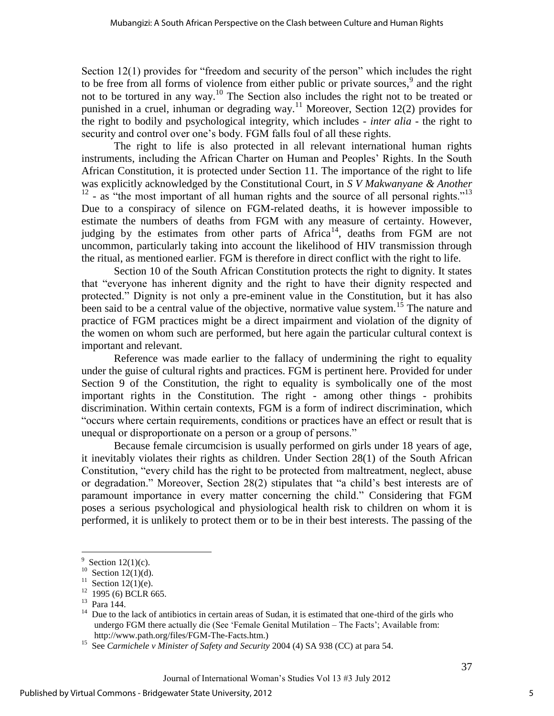Section 12(1) provides for "freedom and security of the person" which includes the right to be free from all forms of violence from either public or private sources,  $9$  and the right not to be tortured in any way.<sup>10</sup> The Section also includes the right not to be treated or punished in a cruel, inhuman or degrading way.<sup>11</sup> Moreover, Section 12(2) provides for the right to bodily and psychological integrity, which includes - *inter alia* - the right to security and control over one's body. FGM falls foul of all these rights.

 The right to life is also protected in all relevant international human rights instruments, including the African Charter on Human and Peoples" Rights. In the South African Constitution, it is protected under Section 11. The importance of the right to life was explicitly acknowledged by the Constitutional Court, in *S V Makwanyane & Another*  $12$  - as "the most important of all human rights and the source of all personal rights." $13$ Due to a conspiracy of silence on FGM-related deaths, it is however impossible to estimate the numbers of deaths from FGM with any measure of certainty. However, judging by the estimates from other parts of  $A$ frica<sup>14</sup>, deaths from FGM are not uncommon, particularly taking into account the likelihood of HIV transmission through the ritual, as mentioned earlier. FGM is therefore in direct conflict with the right to life.

 Section 10 of the South African Constitution protects the right to dignity. It states that "everyone has inherent dignity and the right to have their dignity respected and protected." Dignity is not only a pre-eminent value in the Constitution, but it has also been said to be a central value of the objective, normative value system.<sup>15</sup> The nature and practice of FGM practices might be a direct impairment and violation of the dignity of the women on whom such are performed, but here again the particular cultural context is important and relevant.

 Reference was made earlier to the fallacy of undermining the right to equality under the guise of cultural rights and practices. FGM is pertinent here. Provided for under Section 9 of the Constitution, the right to equality is symbolically one of the most important rights in the Constitution. The right - among other things - prohibits discrimination. Within certain contexts, FGM is a form of indirect discrimination, which "occurs where certain requirements, conditions or practices have an effect or result that is unequal or disproportionate on a person or a group of persons."

 Because female circumcision is usually performed on girls under 18 years of age, it inevitably violates their rights as children. Under Section 28(1) of the South African Constitution, "every child has the right to be protected from maltreatment, neglect, abuse or degradation." Moreover, Section 28(2) stipulates that "a child"s best interests are of paramount importance in every matter concerning the child." Considering that FGM poses a serious psychological and physiological health risk to children on whom it is performed, it is unlikely to protect them or to be in their best interests. The passing of the

 $\overline{a}$ 

<sup>&</sup>lt;sup>9</sup> Section 12(1)(c).

 $10^{10}$  Section 12(1)(d).

<sup>&</sup>lt;sup>11</sup> Section 12(1)(e).

 $12$  1995 (6) BCLR 665.

<sup>13</sup> Para 144.

<sup>&</sup>lt;sup>14</sup> Due to the lack of antibiotics in certain areas of Sudan, it is estimated that one-third of the girls who undergo FGM there actually die (See "Female Genital Mutilation – The Facts"; Available from: [http://www.path.org/files/FGM-The-Facts.htm.](http://www.path.org/files/FGM-The-Facts.htm))

<sup>&</sup>lt;sup>15</sup> See *Carmichele v Minister of Safety and Security* 2004 (4) SA 938 (CC) at para 54.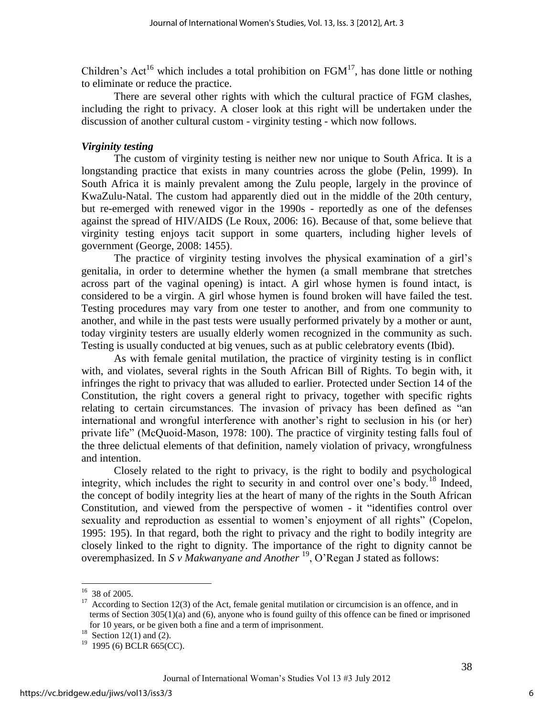Children's Act<sup>16</sup> which includes a total prohibition on  $FGM<sup>17</sup>$ , has done little or nothing to eliminate or reduce the practice.

 There are several other rights with which the cultural practice of FGM clashes, including the right to privacy. A closer look at this right will be undertaken under the discussion of another cultural custom - virginity testing - which now follows.

#### *Virginity testing*

The custom of virginity testing is neither new nor unique to South Africa. It is a longstanding practice that exists in many countries across the globe (Pelin, 1999). In South Africa it is mainly prevalent among the Zulu people, largely in the province of KwaZulu-Natal. The custom had apparently died out in the middle of the 20th century, but re-emerged with renewed vigor in the 1990s - reportedly as one of the defenses against the spread of HIV/AIDS (Le Roux, 2006: 16). Because of that, some believe that virginity testing enjoys tacit support in some quarters, including higher levels of government (George, 2008: 1455).

The practice of virginity testing involves the physical examination of a girl's genitalia, in order to determine whether the hymen (a small membrane that stretches across part of the vaginal opening) is intact. A girl whose hymen is found intact, is considered to be a virgin. A girl whose hymen is found broken will have failed the test. Testing procedures may vary from one tester to another, and from one community to another, and while in the past tests were usually performed privately by a mother or aunt, today virginity testers are usually elderly women recognized in the community as such. Testing is usually conducted at big venues, such as at public celebratory events (Ibid).

 As with female genital mutilation, the practice of virginity testing is in conflict with, and violates, several rights in the South African Bill of Rights. To begin with, it infringes the right to privacy that was alluded to earlier. Protected under Section 14 of the Constitution, the right covers a general right to privacy, together with specific rights relating to certain circumstances. The invasion of privacy has been defined as "an international and wrongful interference with another"s right to seclusion in his (or her) private life" (McQuoid-Mason, 1978: 100). The practice of virginity testing falls foul of the three delictual elements of that definition, namely violation of privacy, wrongfulness and intention.

 Closely related to the right to privacy, is the right to bodily and psychological integrity, which includes the right to security in and control over one's body.<sup>18</sup> Indeed, the concept of bodily integrity lies at the heart of many of the rights in the South African Constitution, and viewed from the perspective of women - it "identifies control over sexuality and reproduction as essential to women"s enjoyment of all rights" (Copelon, 1995: 195). In that regard, both the right to privacy and the right to bodily integrity are closely linked to the right to dignity. The importance of the right to dignity cannot be overemphasized. In *S v Makwanyane and Another* <sup>19</sup>, O'Regan J stated as follows:

 $16$  38 of 2005.

 $17$  According to Section 12(3) of the Act, female genital mutilation or circumcision is an offence, and in terms of Section  $305(1)(a)$  and (6), anyone who is found guilty of this offence can be fined or imprisoned for 10 years, or be given both a fine and a term of imprisonment.

<sup>&</sup>lt;sup>18</sup> Section 12(1) and (2).

 $19$  1995 (6) BCLR 665(CC).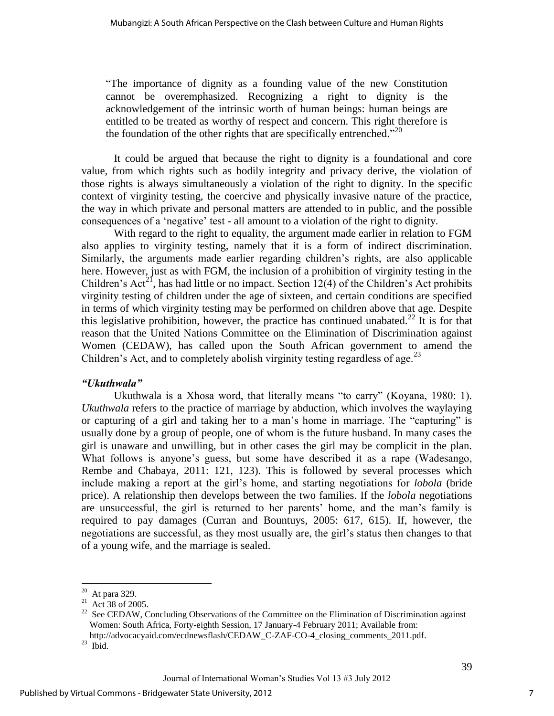"The importance of dignity as a founding value of the new Constitution cannot be overemphasized. Recognizing a right to dignity is the acknowledgement of the intrinsic worth of human beings: human beings are entitled to be treated as worthy of respect and concern. This right therefore is the foundation of the other rights that are specifically entrenched."<sup>20</sup>

It could be argued that because the right to dignity is a foundational and core value, from which rights such as bodily integrity and privacy derive, the violation of those rights is always simultaneously a violation of the right to dignity. In the specific context of virginity testing, the coercive and physically invasive nature of the practice, the way in which private and personal matters are attended to in public, and the possible consequences of a "negative" test - all amount to a violation of the right to dignity.

 With regard to the right to equality, the argument made earlier in relation to FGM also applies to virginity testing, namely that it is a form of indirect discrimination. Similarly, the arguments made earlier regarding children"s rights, are also applicable here. However, just as with FGM, the inclusion of a prohibition of virginity testing in the Children's Act<sup>21</sup>, has had little or no impact. Section 12(4) of the Children's Act prohibits virginity testing of children under the age of sixteen, and certain conditions are specified in terms of which virginity testing may be performed on children above that age. Despite this legislative prohibition, however, the practice has continued unabated.<sup>22</sup> It is for that reason that the United Nations Committee on the Elimination of Discrimination against Women (CEDAW), has called upon the South African government to amend the Children's Act, and to completely abolish virginity testing regardless of age.<sup>23</sup>

#### *"Ukuthwala"*

Ukuthwala is a Xhosa word, that literally means "to carry" (Koyana, 1980: 1). *Ukuthwala* refers to the practice of marriage by abduction, which involves the waylaying or capturing of a girl and taking her to a man"s home in marriage. The "capturing" is usually done by a group of people, one of whom is the future husband. In many cases the girl is unaware and unwilling, but in other cases the girl may be complicit in the plan. What follows is anyone's guess, but some have described it as a rape (Wadesango, Rembe and Chabaya, 2011: 121, 123). This is followed by several processes which include making a report at the girl"s home, and starting negotiations for *lobola* (bride price). A relationship then develops between the two families. If the *lobola* negotiations are unsuccessful, the girl is returned to her parents" home, and the man"s family is required to pay damages (Curran and Bountuys, 2005: 617, 615). If, however, the negotiations are successful, as they most usually are, the girl"s status then changes to that of a young wife, and the marriage is sealed.

 20 At para 329.

 $21$  Act 38 of 2005.

 $22$  See CEDAW, Concluding Observations of the Committee on the Elimination of Discrimination against Women: South Africa, Forty-eighth Session, 17 January-4 February 2011; Available from: [http://advocacyaid.com/ecdnewsflash/CEDAW\\_C-ZAF-CO-4\\_closing\\_comments\\_2011.pdf.](http://advocacyaid.com/ecdnewsflash/CEDAW_C-ZAF-CO-4_closing_comments_2011.pdf)

 $^{23}$  Ibid.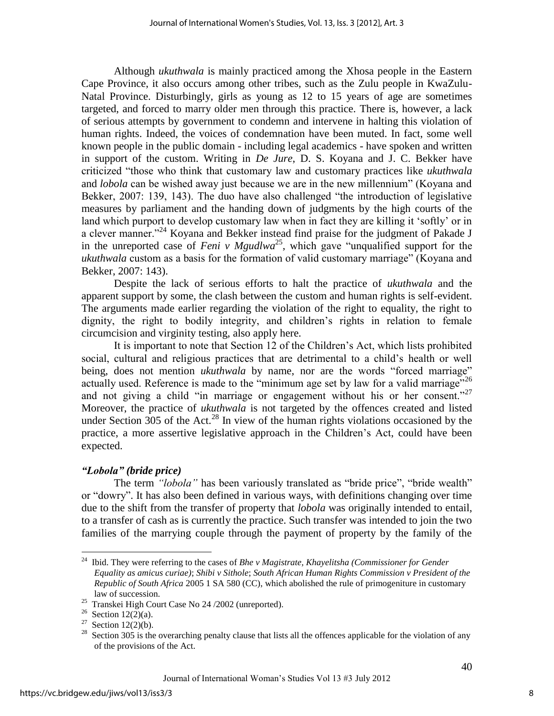Although *ukuthwala* is mainly practiced among the Xhosa people in the Eastern Cape Province, it also occurs among other tribes, such as the Zulu people in KwaZulu-Natal Province. Disturbingly, girls as young as 12 to 15 years of age are sometimes targeted, and forced to marry older men through this practice. There is, however, a lack of serious attempts by government to condemn and intervene in halting this violation of human rights. Indeed, the voices of condemnation have been muted. In fact, some well known people in the public domain - including legal academics - have spoken and written in support of the custom. Writing in *De Jure*, D. S. Koyana and J. C. Bekker have criticized "those who think that customary law and customary practices like *ukuthwala* and *lobola* can be wished away just because we are in the new millennium" (Koyana and Bekker, 2007: 139, 143). The duo have also challenged "the introduction of legislative measures by parliament and the handing down of judgments by the high courts of the land which purport to develop customary law when in fact they are killing it "softly" or in a clever manner."<sup>24</sup> Koyana and Bekker instead find praise for the judgment of Pakade J in the unreported case of *Feni v Mgudlwa*<sup>25</sup>, which gave "unqualified support for the *ukuthwala* custom as a basis for the formation of valid customary marriage" (Koyana and Bekker, 2007: 143).

 Despite the lack of serious efforts to halt the practice of *ukuthwala* and the apparent support by some, the clash between the custom and human rights is self-evident. The arguments made earlier regarding the violation of the right to equality, the right to dignity, the right to bodily integrity, and children"s rights in relation to female circumcision and virginity testing, also apply here.

It is important to note that Section 12 of the Children"s Act, which lists prohibited social, cultural and religious practices that are detrimental to a child"s health or well being, does not mention *ukuthwala* by name, nor are the words "forced marriage" actually used. Reference is made to the "minimum age set by law for a valid marriage"<sup>26</sup> and not giving a child "in marriage or engagement without his or her consent." Moreover, the practice of *ukuthwala* is not targeted by the offences created and listed under Section  $305$  of the Act.<sup>28</sup> In view of the human rights violations occasioned by the practice, a more assertive legislative approach in the Children"s Act, could have been expected.

# *"Lobola" (bride price)*

The term *"lobola"* has been variously translated as "bride price", "bride wealth" or "dowry". It has also been defined in various ways, with definitions changing over time due to the shift from the transfer of property that *lobola* was originally intended to entail, to a transfer of cash as is currently the practice. Such transfer was intended to join the two families of the marrying couple through the payment of property by the family of the

 $\overline{a}$ 

<sup>24</sup> Ibid. They were referring to the cases of *Bhe v Magistrate, Khayelitsha (Commissioner for Gender Equality as amicus curiae)*; *Shibi v Sithole*; *South African Human Rights Commission v President of the Republic of South Africa* 2005 1 SA 580 (CC), which abolished the rule of primogeniture in customary law of succession.

<sup>&</sup>lt;sup>25</sup> Transkei High Court Case No 24 / 2002 (unreported).

<sup>&</sup>lt;sup>26</sup> Section 12(2)(a).

<sup>&</sup>lt;sup>27</sup> Section 12(2)(b).

 $28$  Section 305 is the overarching penalty clause that lists all the offences applicable for the violation of any of the provisions of the Act.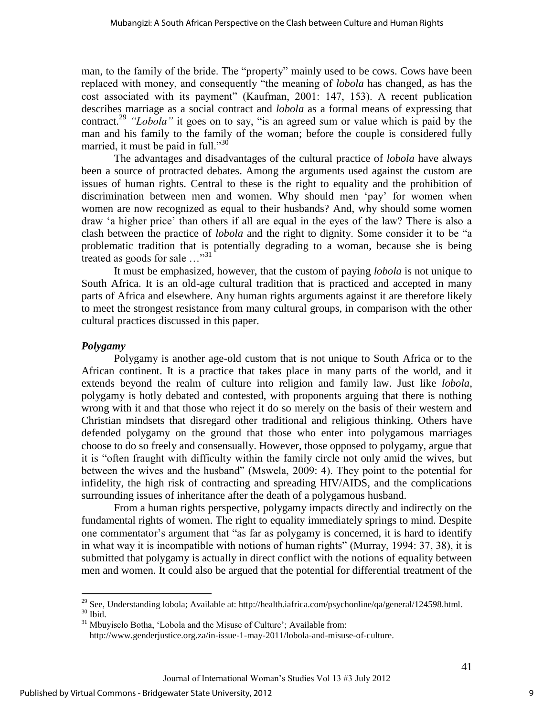man, to the family of the bride. The "property" mainly used to be cows. Cows have been replaced with money, and consequently "the meaning of *lobola* has changed, as has the cost associated with its payment" (Kaufman, 2001: 147, 153). A recent publication describes marriage as a social contract and *lobola* as a formal means of expressing that contract.<sup>29</sup> *"Lobola"* it goes on to say, "is an agreed sum or value which is paid by the man and his family to the family of the woman; before the couple is considered fully married, it must be paid in full." $30$ 

 The advantages and disadvantages of the cultural practice of *lobola* have always been a source of protracted debates. Among the arguments used against the custom are issues of human rights. Central to these is the right to equality and the prohibition of discrimination between men and women. Why should men "pay" for women when women are now recognized as equal to their husbands? And, why should some women draw "a higher price" than others if all are equal in the eyes of the law? There is also a clash between the practice of *lobola* and the right to dignity. Some consider it to be "a problematic tradition that is potentially degrading to a woman, because she is being treated as goods for sale ..."<sup>31</sup>

 It must be emphasized, however, that the custom of paying *lobola* is not unique to South Africa. It is an old-age cultural tradition that is practiced and accepted in many parts of Africa and elsewhere. Any human rights arguments against it are therefore likely to meet the strongest resistance from many cultural groups, in comparison with the other cultural practices discussed in this paper.

#### *Polygamy*

 $\overline{a}$ 

Polygamy is another age-old custom that is not unique to South Africa or to the African continent. It is a practice that takes place in many parts of the world, and it extends beyond the realm of culture into religion and family law. Just like *lobola*, polygamy is hotly debated and contested, with proponents arguing that there is nothing wrong with it and that those who reject it do so merely on the basis of their western and Christian mindsets that disregard other traditional and religious thinking. Others have defended polygamy on the ground that those who enter into polygamous marriages choose to do so freely and consensually. However, those opposed to polygamy, argue that it is "often fraught with difficulty within the family circle not only amid the wives, but between the wives and the husband" (Mswela, 2009: 4). They point to the potential for infidelity, the high risk of contracting and spreading HIV/AIDS, and the complications surrounding issues of inheritance after the death of a polygamous husband.

 From a human rights perspective, polygamy impacts directly and indirectly on the fundamental rights of women. The right to equality immediately springs to mind. Despite one commentator's argument that "as far as polygamy is concerned, it is hard to identify in what way it is incompatible with notions of human rights" (Murray, 1994: 37, 38), it is submitted that polygamy is actually in direct conflict with the notions of equality between men and women. It could also be argued that the potential for differential treatment of the

<sup>&</sup>lt;sup>29</sup> See, Understanding lobola; Available at: [http://health.iafrica.com/psychonline/qa/general/124598.html.](http://health.iafrica.com/psychonline/qa/general/124598.html) <sup>30</sup> Ibid.

<sup>&</sup>lt;sup>31</sup> Mbuyiselo Botha, 'Lobola and the Misuse of Culture'; Available from:

[http://www.genderjustice.org.za/in-issue-1-may-2011/lobola-and-misuse-of-culture.](http://www.genderjustice.org.za/in-issue-1-may-2011/lobola-and-misuse-of-culture)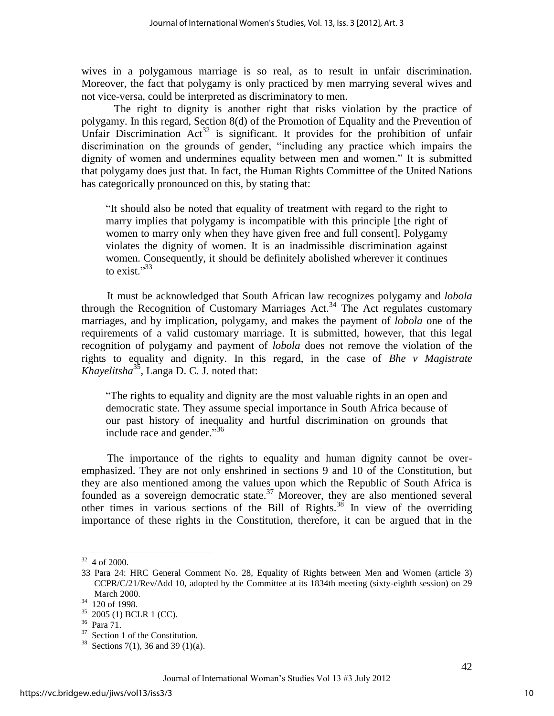wives in a polygamous marriage is so real, as to result in unfair discrimination. Moreover, the fact that polygamy is only practiced by men marrying several wives and not vice-versa, could be interpreted as discriminatory to men.

 The right to dignity is another right that risks violation by the practice of polygamy. In this regard, Section 8(d) of the Promotion of Equality and the Prevention of Unfair Discrimination  $Act^{32}$  is significant. It provides for the prohibition of unfair discrimination on the grounds of gender, "including any practice which impairs the dignity of women and undermines equality between men and women." It is submitted that polygamy does just that. In fact, the Human Rights Committee of the United Nations has categorically pronounced on this, by stating that:

"It should also be noted that equality of treatment with regard to the right to marry implies that polygamy is incompatible with this principle [the right of women to marry only when they have given free and full consent]. Polygamy violates the dignity of women. It is an inadmissible discrimination against women. Consequently, it should be definitely abolished wherever it continues to exist $^{33}$ 

 It must be acknowledged that South African law recognizes polygamy and *lobola* through the Recognition of Customary Marriages Act.<sup>34</sup> The Act regulates customary marriages, and by implication, polygamy, and makes the payment of *lobola* one of the requirements of a valid customary marriage. It is submitted, however, that this legal recognition of polygamy and payment of *lobola* does not remove the violation of the rights to equality and dignity. In this regard, in the case of *Bhe v Magistrate Khayelitsha*<sup>35</sup>, Langa D. C. J. noted that:

"The rights to equality and dignity are the most valuable rights in an open and democratic state. They assume special importance in South Africa because of our past history of inequality and hurtful discrimination on grounds that include race and gender."<sup>36</sup>

The importance of the rights to equality and human dignity cannot be overemphasized. They are not only enshrined in sections 9 and 10 of the Constitution, but they are also mentioned among the values upon which the Republic of South Africa is founded as a sovereign democratic state.<sup>37</sup> Moreover, they are also mentioned several other times in various sections of the Bill of Rights.<sup>38</sup> In view of the overriding importance of these rights in the Constitution, therefore, it can be argued that in the

 $32$  4 of 2000.

<sup>33</sup> Para 24: HRC General Comment No. 28, Equality of Rights between Men and Women (article 3) CCPR/C/21/Rev/Add 10, adopted by the Committee at its 1834th meeting (sixty-eighth session) on 29 March 2000.

<sup>34</sup> 120 of 1998.

 $35$  2005 (1) BCLR 1 (CC).

<sup>36</sup> Para 71.

<sup>&</sup>lt;sup>37</sup> Section 1 of the Constitution.

<sup>&</sup>lt;sup>38</sup> Sections 7(1), 36 and 39 (1)(a).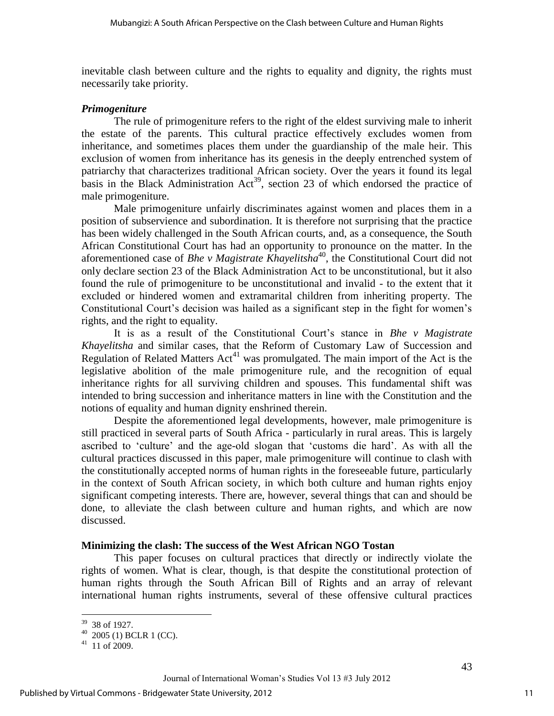inevitable clash between culture and the rights to equality and dignity, the rights must necessarily take priority.

#### *Primogeniture*

The rule of primogeniture refers to the right of the eldest surviving male to inherit the estate of the parents. This cultural practice effectively excludes women from inheritance, and sometimes places them under the guardianship of the male heir. This exclusion of women from inheritance has its genesis in the deeply entrenched system of patriarchy that characterizes traditional African society. Over the years it found its legal basis in the Black Administration  $Act^{39}$ , section 23 of which endorsed the practice of male primogeniture.

 Male primogeniture unfairly discriminates against women and places them in a position of subservience and subordination. It is therefore not surprising that the practice has been widely challenged in the South African courts, and, as a consequence, the South African Constitutional Court has had an opportunity to pronounce on the matter. In the aforementioned case of *Bhe v Magistrate Khayelitsha*<sup>40</sup>, the Constitutional Court did not only declare section 23 of the Black Administration Act to be unconstitutional, but it also found the rule of primogeniture to be unconstitutional and invalid - to the extent that it excluded or hindered women and extramarital children from inheriting property. The Constitutional Court's decision was hailed as a significant step in the fight for women's rights, and the right to equality.

It is as a result of the Constitutional Court"s stance in *Bhe v Magistrate Khayelitsha* and similar cases, that the Reform of Customary Law of Succession and Regulation of Related Matters  $Act^{41}$  was promulgated. The main import of the Act is the legislative abolition of the male primogeniture rule, and the recognition of equal inheritance rights for all surviving children and spouses. This fundamental shift was intended to bring succession and inheritance matters in line with the Constitution and the notions of equality and human dignity enshrined therein.

 Despite the aforementioned legal developments, however, male primogeniture is still practiced in several parts of South Africa - particularly in rural areas. This is largely ascribed to "culture" and the age-old slogan that "customs die hard". As with all the cultural practices discussed in this paper, male primogeniture will continue to clash with the constitutionally accepted norms of human rights in the foreseeable future, particularly in the context of South African society, in which both culture and human rights enjoy significant competing interests. There are, however, several things that can and should be done, to alleviate the clash between culture and human rights, and which are now discussed.

#### **Minimizing the clash: The success of the West African NGO Tostan**

This paper focuses on cultural practices that directly or indirectly violate the rights of women. What is clear, though, is that despite the constitutional protection of human rights through the South African Bill of Rights and an array of relevant international human rights instruments, several of these offensive cultural practices

 $\overline{a}$ 39 38 of 1927.

 $40$  2005 (1) BCLR 1 (CC).

 $41$  11 of 2009.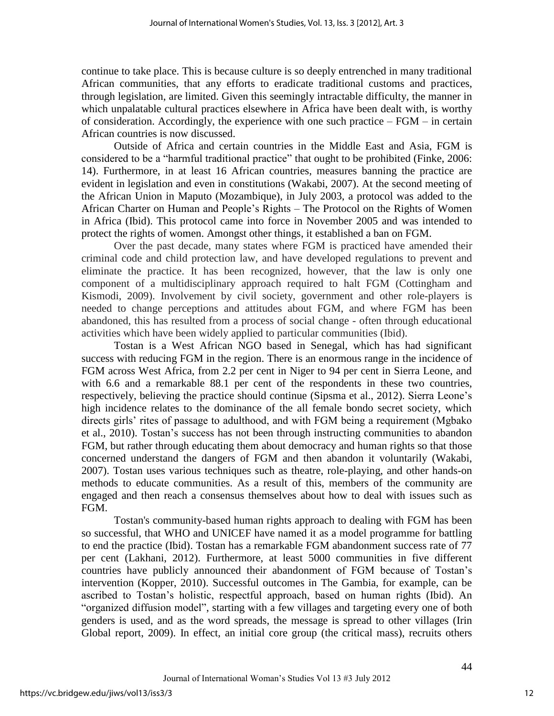continue to take place. This is because culture is so deeply entrenched in many traditional African communities, that any efforts to eradicate traditional customs and practices, through legislation, are limited. Given this seemingly intractable difficulty, the manner in which unpalatable cultural practices elsewhere in Africa have been dealt with, is worthy of consideration. Accordingly, the experience with one such practice – FGM – in certain African countries is now discussed.

 Outside of Africa and certain countries in the Middle East and Asia, FGM is considered to be a "harmful traditional practice" that ought to be prohibited (Finke, 2006: 14). Furthermore, in at least 16 African countries, measures banning the practice are evident in legislation and even in constitutions (Wakabi, 2007). At the second meeting of the African Union in Maputo (Mozambique), in July 2003, a protocol was added to the African Charter on Human and People"s Rights – The Protocol on the Rights of Women in Africa (Ibid). This protocol came into force in November 2005 and was intended to protect the rights of women. Amongst other things, it established a ban on FGM.

Over the past decade, many states where FGM is practiced have amended their criminal code and child protection law, and have developed regulations to prevent and eliminate the practice. It has been recognized, however, that the law is only one component of a multidisciplinary approach required to halt FGM (Cottingham and Kismodi, 2009). Involvement by civil society, government and other role-players is needed to change perceptions and attitudes about FGM, and where FGM has been abandoned, this has resulted from a process of social change - often through educational activities which have been widely applied to particular communities (Ibid).

Tostan is a West African NGO based in Senegal, which has had significant success with reducing FGM in the region. There is an enormous range in the incidence of FGM across West Africa, from 2.2 per cent in Niger to 94 per cent in Sierra Leone, and with 6.6 and a remarkable 88.1 per cent of the respondents in these two countries, respectively, believing the practice should continue (Sipsma et al., 2012). Sierra Leone"s high incidence relates to the dominance of the all female bondo secret society, which directs girls' rites of passage to adulthood, and with FGM being a requirement (Mgbako et al., 2010). Tostan"s success has not been through instructing communities to abandon FGM, but rather through educating them about democracy and human rights so that those concerned understand the dangers of FGM and then abandon it voluntarily (Wakabi, 2007). Tostan uses various techniques such as theatre, role-playing, and other hands-on methods to educate communities. As a result of this, members of the community are engaged and then reach a consensus themselves about how to deal with issues such as FGM.

Tostan's community-based human rights approach to dealing with FGM has been so successful, that WHO and UNICEF have named it as a model programme for battling to end the practice (Ibid). Tostan has a remarkable FGM abandonment success rate of 77 per cent (Lakhani, 2012). Furthermore, at least 5000 communities in five different countries have publicly announced their abandonment of FGM because of Tostan"s intervention (Kopper, 2010). Successful outcomes in The Gambia, for example, can be ascribed to Tostan"s holistic, respectful approach, based on human rights (Ibid). An "organized diffusion model", starting with a few villages and targeting every one of both genders is used, and as the word spreads, the message is spread to other villages (Irin Global report, 2009). In effect, an initial core group (the critical mass), recruits others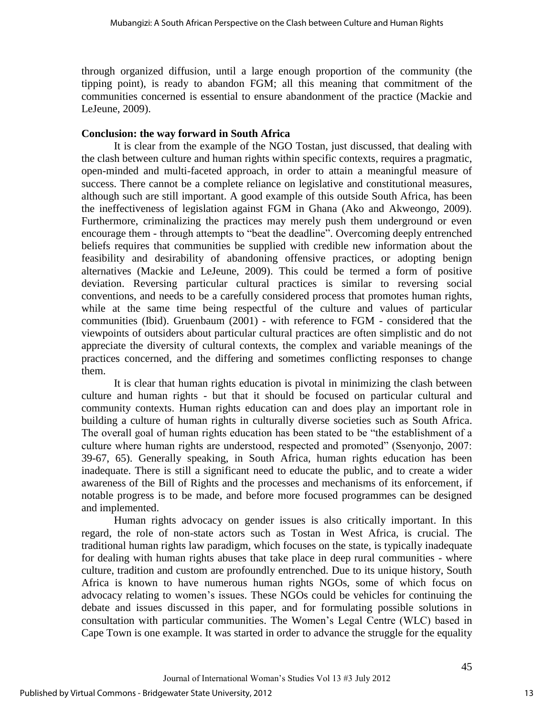through organized diffusion, until a large enough proportion of the community (the tipping point), is ready to abandon FGM; all this meaning that commitment of the communities concerned is essential to ensure abandonment of the practice (Mackie and LeJeune, 2009).

#### **Conclusion: the way forward in South Africa**

 It is clear from the example of the NGO Tostan, just discussed, that dealing with the clash between culture and human rights within specific contexts, requires a pragmatic, open-minded and multi-faceted approach, in order to attain a meaningful measure of success. There cannot be a complete reliance on legislative and constitutional measures, although such are still important. A good example of this outside South Africa, has been the ineffectiveness of legislation against FGM in Ghana (Ako and Akweongo, 2009). Furthermore, criminalizing the practices may merely push them underground or even encourage them - through attempts to "beat the deadline". Overcoming deeply entrenched beliefs requires that communities be supplied with credible new information about the feasibility and desirability of abandoning offensive practices, or adopting benign alternatives (Mackie and LeJeune, 2009). This could be termed a form of positive deviation. Reversing particular cultural practices is similar to reversing social conventions, and needs to be a carefully considered process that promotes human rights, while at the same time being respectful of the culture and values of particular communities (Ibid). Gruenbaum (2001) - with reference to FGM - considered that the viewpoints of outsiders about particular cultural practices are often simplistic and do not appreciate the diversity of cultural contexts, the complex and variable meanings of the practices concerned, and the differing and sometimes conflicting responses to change them.

It is clear that human rights education is pivotal in minimizing the clash between culture and human rights - but that it should be focused on particular cultural and community contexts. Human rights education can and does play an important role in building a culture of human rights in culturally diverse societies such as South Africa. The overall goal of human rights education has been stated to be "the establishment of a culture where human rights are understood, respected and promoted" (Ssenyonjo, 2007: 39-67, 65). Generally speaking, in South Africa, human rights education has been inadequate. There is still a significant need to educate the public, and to create a wider awareness of the Bill of Rights and the processes and mechanisms of its enforcement, if notable progress is to be made, and before more focused programmes can be designed and implemented.

 Human rights advocacy on gender issues is also critically important. In this regard, the role of non-state actors such as Tostan in West Africa, is crucial. The traditional human rights law paradigm, which focuses on the state, is typically inadequate for dealing with human rights abuses that take place in deep rural communities - where culture, tradition and custom are profoundly entrenched. Due to its unique history, South Africa is known to have numerous human rights NGOs, some of which focus on advocacy relating to women"s issues. These NGOs could be vehicles for continuing the debate and issues discussed in this paper, and for formulating possible solutions in consultation with particular communities. The Women"s Legal Centre (WLC) based in Cape Town is one example. It was started in order to advance the struggle for the equality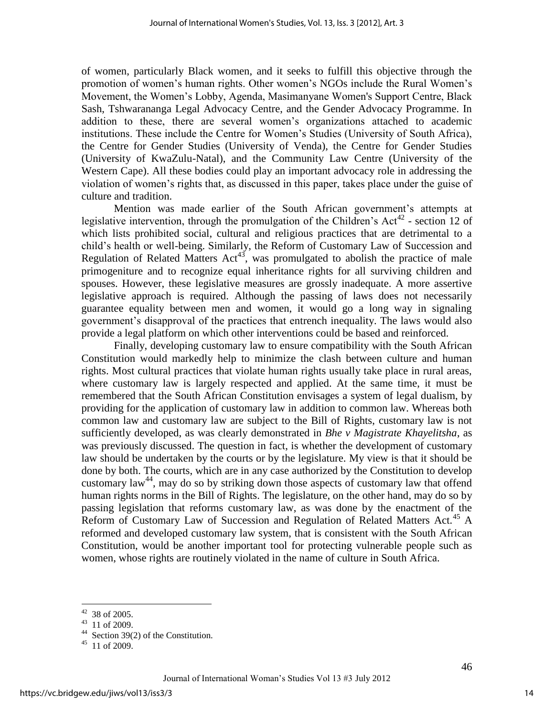of women, particularly Black women, and it seeks to fulfill this objective through the promotion of women"s human rights. Other women"s NGOs include the Rural Women"s Movement, the Women"s Lobby, Agenda, Masimanyane Women's Support Centre, Black Sash, Tshwarananga Legal Advocacy Centre, and the Gender Advocacy Programme. In addition to these, there are several women"s organizations attached to academic institutions. These include the Centre for Women"s Studies (University of South Africa), the Centre for Gender Studies (University of Venda), the Centre for Gender Studies (University of KwaZulu-Natal), and the Community Law Centre (University of the Western Cape). All these bodies could play an important advocacy role in addressing the violation of women"s rights that, as discussed in this paper, takes place under the guise of culture and tradition.

Mention was made earlier of the South African government's attempts at legislative intervention, through the promulgation of the Children's Act<sup>42</sup> - section 12 of which lists prohibited social, cultural and religious practices that are detrimental to a child"s health or well-being. Similarly, the Reform of Customary Law of Succession and Regulation of Related Matters  $Act^{43}$ , was promulgated to abolish the practice of male primogeniture and to recognize equal inheritance rights for all surviving children and spouses. However, these legislative measures are grossly inadequate. A more assertive legislative approach is required. Although the passing of laws does not necessarily guarantee equality between men and women, it would go a long way in signaling government's disapproval of the practices that entrench inequality. The laws would also provide a legal platform on which other interventions could be based and reinforced.

 Finally, developing customary law to ensure compatibility with the South African Constitution would markedly help to minimize the clash between culture and human rights. Most cultural practices that violate human rights usually take place in rural areas, where customary law is largely respected and applied. At the same time, it must be remembered that the South African Constitution envisages a system of legal dualism, by providing for the application of customary law in addition to common law. Whereas both common law and customary law are subject to the Bill of Rights, customary law is not sufficiently developed, as was clearly demonstrated in *Bhe v Magistrate Khayelitsha*, as was previously discussed. The question in fact, is whether the development of customary law should be undertaken by the courts or by the legislature. My view is that it should be done by both. The courts, which are in any case authorized by the Constitution to develop customary law<sup>44</sup>, may do so by striking down those aspects of customary law that offend human rights norms in the Bill of Rights. The legislature, on the other hand, may do so by passing legislation that reforms customary law, as was done by the enactment of the Reform of Customary Law of Succession and Regulation of Related Matters Act.<sup>45</sup> A reformed and developed customary law system, that is consistent with the South African Constitution, would be another important tool for protecting vulnerable people such as women, whose rights are routinely violated in the name of culture in South Africa.

14

 $42$  38 of 2005.

<sup>43</sup> 11 of 2009.

<sup>44</sup> Section 39(2) of the Constitution.

<sup>45</sup> 11 of 2009.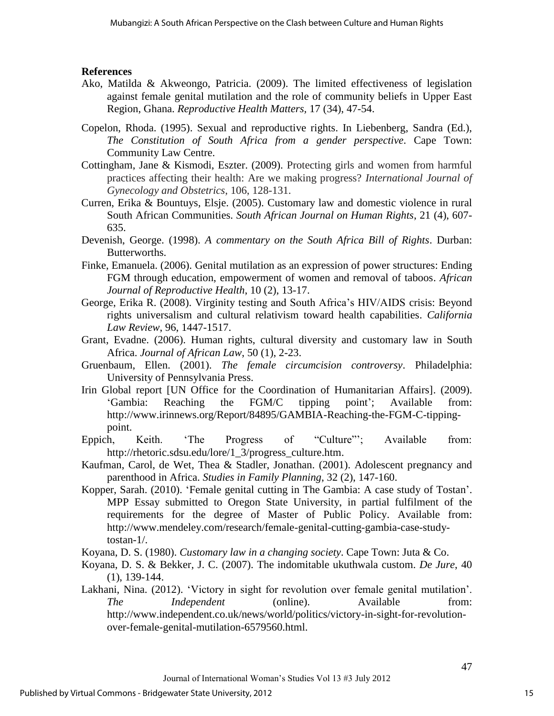#### **References**

- Ako, Matilda & Akweongo, Patricia. (2009). The limited effectiveness of legislation against female genital mutilation and the role of community beliefs in Upper East Region, Ghana. *Reproductive Health Matters,* 17 (34), 47-54.
- Copelon, Rhoda. (1995). Sexual and reproductive rights. In Liebenberg, Sandra (Ed.), *The Constitution of South Africa from a gender perspective*. Cape Town: Community Law Centre.
- Cottingham, Jane & Kismodi, Eszter. (2009). Protecting girls and women from harmful practices affecting their health: Are we making progress? *International Journal of Gynecology and Obstetrics*, 106, 128-131.
- Curren, Erika & Bountuys, Elsje. (2005). Customary law and domestic violence in rural South African Communities. *South African Journal on Human Rights*, 21 (4), 607- 635.
- Devenish, George. (1998). *A commentary on the South Africa Bill of Rights*. Durban: Butterworths.
- Finke, Emanuela. (2006). Genital mutilation as an expression of power structures: Ending FGM through education, empowerment of women and removal of taboos. *African Journal of Reproductive Health*, 10 (2), 13-17.
- George, Erika R. (2008). Virginity testing and South Africa"s HIV/AIDS crisis: Beyond rights universalism and cultural relativism toward health capabilities. *California Law Review*, 96, 1447-1517.
- Grant, Evadne. (2006). Human rights, cultural diversity and customary law in South Africa. *Journal of African Law*, 50 (1), 2-23.
- Gruenbaum, Ellen. (2001). *The female circumcision controversy*. Philadelphia: University of Pennsylvania Press.
- Irin Global report [UN Office for the Coordination of Humanitarian Affairs]. (2009). 'Gambia: Reaching the FGM/C tipping point'; Available from: [http://www.irinnews.org/Report/84895/GAMBIA-Reaching-the-FGM-C-tipping](http://www.irinnews.org/Report/84895/GAMBIA-Reaching-the-FGM-C-tipping-point)[point.](http://www.irinnews.org/Report/84895/GAMBIA-Reaching-the-FGM-C-tipping-point)
- Eppich, Keith. 'The Progress of "Culture"; Available from: [http://rhetoric.sdsu.edu/lore/1\\_3/progress\\_culture.htm.](http://rhetoric.sdsu.edu/lore/1_3/progress_culture.htm)
- Kaufman, Carol, de Wet, Thea & Stadler, Jonathan. (2001). Adolescent pregnancy and parenthood in Africa. *Studies in Family Planning*, 32 (2), 147-160.
- Kopper, Sarah. (2010). "Female genital cutting in The Gambia: A case study of Tostan". MPP Essay submitted to Oregon State University, in partial fulfilment of the requirements for the degree of Master of Public Policy. Available from: [http://www.mendeley.com/research/female-genital-cutting-gambia-case-study](http://www.mendeley.com/research/female-genital-cutting-gambia-case-study-tostan-1/)[tostan-1/.](http://www.mendeley.com/research/female-genital-cutting-gambia-case-study-tostan-1/)
- Koyana, D. S. (1980). *Customary law in a changing society*. Cape Town: Juta & Co.
- Koyana, D. S. & Bekker, J. C. (2007). The indomitable ukuthwala custom. *De Jure*, 40 (1), 139-144.
- Lakhani, Nina. (2012). 'Victory in sight for revolution over female genital mutilation'. *The Independent* (online). Available from: [http://www.independent.co.uk/news/world/politics/victory-in-sight-for-revolution](http://www.independent.co.uk/news/world/politics/victory-in-sight-for-revolution-over-female-genital-mutilation-6579560.html)[over-female-genital-mutilation-6579560.html.](http://www.independent.co.uk/news/world/politics/victory-in-sight-for-revolution-over-female-genital-mutilation-6579560.html)